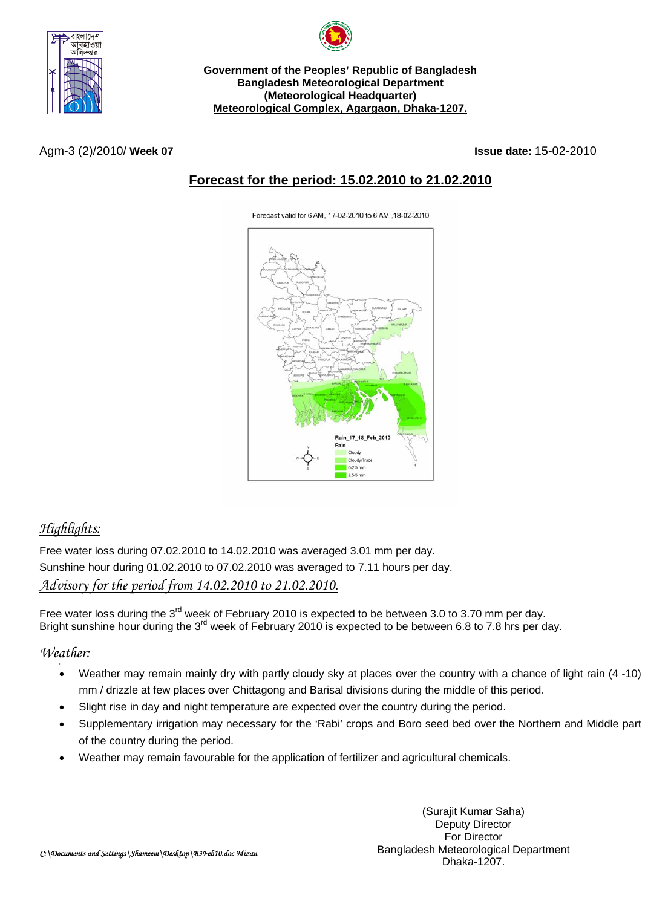



**Government of the Peoples' Republic of Bangladesh Bangladesh Meteorological Department (Meteorological Headquarter) Meteorological Complex, Agargaon, Dhaka-1207.**

Agm-3 (2)/2010/ **Week 07 Issue date:** 15-02-2010

#### **Forecast for the period: 15.02.2010 to 21.02.2010**

Forecast valid for 6 AM, 17-02-2010 to 6 AM, 18-02-2010



# *Highlights:*

Free water loss during 07.02.2010 to 14.02.2010 was averaged 3.01 mm per day. Sunshine hour during 01.02.2010 to 07.02.2010 was averaged to 7.11 hours per day. *Advisory for the period from 14.02.2010 to 21.02.2010.*

Free water loss during the 3<sup>rd</sup> week of February 2010 is expected to be between 3.0 to 3.70 mm per day. Bright sunshine hour during the 3<sup>rd</sup> week of February 2010 is expected to be between 6.8 to 7.8 hrs per day.

#### *Weather:*

- Weather may remain mainly dry with partly cloudy sky at places over the country with a chance of light rain (4 -10) mm / drizzle at few places over Chittagong and Barisal divisions during the middle of this period.
- Slight rise in day and night temperature are expected over the country during the period.
- Supplementary irrigation may necessary for the 'Rabi' crops and Boro seed bed over the Northern and Middle part of the country during the period.
- Weather may remain favourable for the application of fertilizer and agricultural chemicals.

(Surajit Kumar Saha) Deputy Director For Director Bangladesh Meteorological Department Dhaka-1207.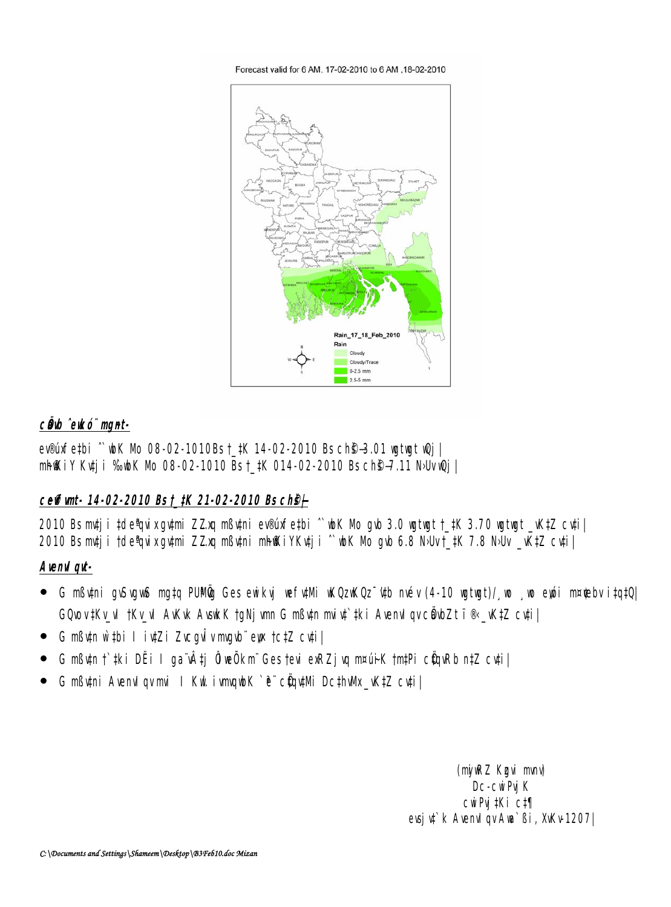Forecast valid for 6 AM, 17-02-2010 to 6 AM, 18-02-2010



#### câb ^eucó" munt-

evemethi ~ bK Nb 08-02-1010Bst\_tK 14-02-2010 Bs ch<sup>e</sup>3.01 with the l **nhiki**y Kuji %wk Nb 08-02-1010 Bst\_#K 014-02-2010 Bsch\$-7.11 NJvuQj |

# ceffunt-14-02-2010 Bst\_tK 21-02-2010 Bsch9+

2010 Bsmtj i tde'tu xqumi ZZxq mßuni ev®infetbi ^ bK Nb qub 3.0 wtwt t\_tK 3.70 wtwt \_KtZ cuti 2010 Bsmtj i †de<sup>n</sup>dixgymi ZZxq nßymi nhiki YKytj i ^ wK Nb gwb 6.8 NWv†\_#K 7.8 NWv \_\K‡Z cyti |

# Avenui qui-

- G mßüni guSugus mata PUMün Ges euikui vefülli uküzuküz üb mév (4-10 ugtugt)/ vo vo eyéi m¤debv itatül **GOLOV#KV\_ull tKV\_ull AWW Avsick to Njum G mßutn miut tki Avenul gvc@bZt i®\_WtZ cuti|**
- G mßutn w thi I iutZi Zuegulvmgub eur tetZ euti
- G mßun † tki DËi I ga vÂtj ÔveÔkm Ges tevi exRZj vq m¤uiK tmtPi cũnRb n‡Z cuti  $\bullet$
- G mßuni Avend gymi I Kul ivngub K e cüntu Dcthuk\_KtZ cuti  $\bullet$

(ný RZ Kgui mný **Dc-curpj K** cuiPuj#Ki c#1 evsj u<sup>\*</sup> k Avenul gv Aua<sup>\*</sup> Bi, XvKv 1207 |